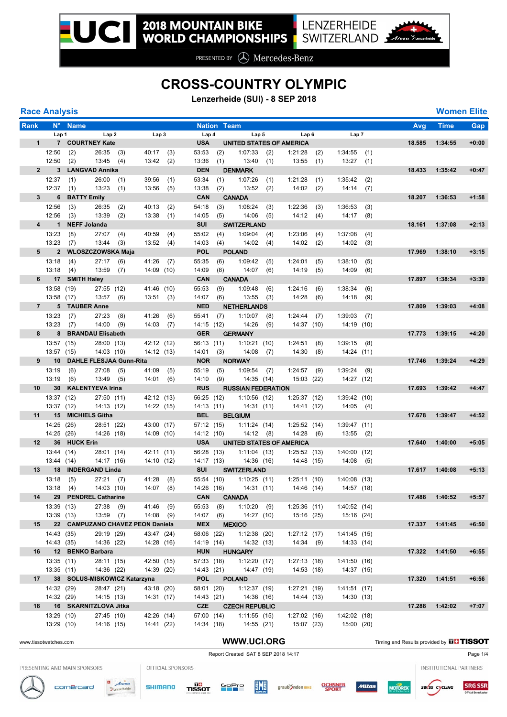## **CROSS-COUNTRY OLYMPIC**

**Lenzerheide (SUI) - 8 SEP 2018**

| <b>Race Analysis</b>    |                          |                              |                                |            |                                  |            |                          |                    |                               |            |                           |            |                            |            |        |             | <b>Women Elite</b> |
|-------------------------|--------------------------|------------------------------|--------------------------------|------------|----------------------------------|------------|--------------------------|--------------------|-------------------------------|------------|---------------------------|------------|----------------------------|------------|--------|-------------|--------------------|
| Rank                    |                          | N° Name                      |                                |            |                                  |            |                          | <b>Nation Team</b> |                               |            |                           |            |                            |            | Avg    | <b>Time</b> | <b>Gap</b>         |
|                         | Lap 1                    |                              | Lap <sub>2</sub>               |            | Lap3                             |            | Lap 4                    |                    | Lap 5                         |            | Lap 6                     |            | Lap 7                      |            |        |             |                    |
| 1                       |                          | 7 COURTNEY Kate              |                                |            |                                  |            | <b>USA</b>               |                    | UNITED STATES OF AMERICA      |            |                           |            |                            |            | 18.585 | 1:34:55     | $+0:00$            |
|                         | 12:50                    | (2)                          | $26:35$ (3)                    |            | 40:17                            | (3)        | 53:53                    | (2)                | 1:07:33                       | (2)        | 1:21:28                   | (2)        | 1:34:55                    | (1)        |        |             |                    |
|                         | 12:50                    | (2)                          | 13:45(4)                       |            | 13:42                            | (2)        | 13:36                    | (1)                | 13:40                         | (1)        | 13:55                     | (1)        | $13:27$ (1)                |            |        |             |                    |
| $2^{\circ}$             |                          | 3 LANGVAD Annika             |                                |            |                                  |            | <b>DEN</b>               |                    | <b>DENMARK</b>                |            |                           |            |                            |            | 18.433 | 1:35:42     | $+0:47$            |
|                         | 12:37                    | (1)                          | 26:00                          | (1)        | $39:56$ (1)                      |            | 53:34                    | (1)                | 1:07:26                       | (1)        | 1:21:28                   | (1)        | 1:35:42                    | (2)        |        |             |                    |
|                         | 12:37                    | (1)                          | 13:23                          | (1)        | 13:56                            | (5)        | 13:38                    | (2)                | 13:52                         | (2)        | 14:02                     | (2)        | 14:14                      | (7)        |        |             |                    |
| 3 <sup>1</sup>          |                          | 6 BATTY Emily                |                                |            |                                  |            | CAN                      |                    | <b>CANADA</b>                 |            |                           |            |                            |            | 18.207 | 1:36:53     | $+1:58$            |
|                         | 12:56                    | (3)                          | 26:35                          | (2)        | 40:13                            | (2)        | 54:18                    | (3)                | 1:08:24                       | (3)        | 1:22:36                   | (3)        | 1:36:53                    | (3)        |        |             |                    |
| $\overline{\mathbf{4}}$ | 12:56<br>1               | (3)<br><b>NEFF Jolanda</b>   | 13:39                          | (2)        | 13:38(1)                         |            | 14:05                    | (5)                | 14:06                         | (5)        | 14:12                     | (4)        | 14:17                      | (8)        | 18.161 | 1:37:08     | $+2:13$            |
|                         | 13:23                    |                              | 27:07                          |            |                                  |            | SUI                      |                    | <b>SWITZERLAND</b><br>1:09:04 |            |                           |            |                            |            |        |             |                    |
|                         | 13:23                    | (8)<br>(7)                   | 13:44                          | (4)<br>(3) | 40:59<br>13:52                   | (4)<br>(4) | 55:02<br>14:03           | (4)<br>(4)         | 14:02                         | (4)<br>(4) | 1:23:06<br>14:02          | (4)<br>(2) | 1:37:08<br>14:02           | (4)<br>(3) |        |             |                    |
|                         | $5^{\circ}$              | 2 WLOSZCZOWSKA Maja          |                                |            |                                  |            | <b>POL</b>               |                    | <b>POLAND</b>                 |            |                           |            |                            |            | 17.969 | 1:38:10     | $+3:15$            |
|                         | 13:18                    | (4)                          | 27:17                          | (6)        | $41:26$ (7)                      |            | 55:35                    | (6)                | 1:09:42                       | (5)        | 1:24:01                   | (5)        | 1:38:10                    | (5)        |        |             |                    |
|                         | 13:18                    | (4)                          | 13:59                          | (7)        | 14:09 (10)                       |            | 14:09                    | (8)                | 14:07                         | (6)        | 14:19                     | (5)        | 14:09                      | (6)        |        |             |                    |
|                         |                          | 6 17 SMITH Haley             |                                |            |                                  |            | CAN                      |                    | <b>CANADA</b>                 |            |                           |            |                            |            | 17.897 | 1:38:34     | $+3:39$            |
|                         | 13:58 (19)               |                              | 27:55 (12)                     |            | 41:46 (10)                       |            | 55:53                    | (9)                | 1:09:48                       | (6)        | 1:24:16                   | (6)        | 1:38:34                    | (6)        |        |             |                    |
|                         | 13:58 (17)               |                              | 13:57                          | (6)        | 13:51(3)                         |            | 14:07                    | (6)                | 13:55                         | (3)        | 14:28                     | (6)        | 14:18                      | (9)        |        |             |                    |
|                         | $7 -$                    | 5 TAUBER Anne                |                                |            |                                  |            | <b>NED</b>               |                    | <b>NETHERLANDS</b>            |            |                           |            |                            |            | 17.809 | 1:39:03     | $+4:08$            |
|                         | 13:23                    | (7)                          | 27:23                          | (8)        | 41:26                            | (6)        | 55:41                    | (7)                | 1:10:07                       | (8)        | 1:24:44                   | (7)        | 1:39:03                    | (7)        |        |             |                    |
|                         | 13:23                    | (7)                          | 14:00                          | (9)        | $14:03$ (7)                      |            | 14:15 (12)               |                    | 14:26                         | (9)        | 14:37(10)                 |            | 14:19(10)                  |            |        |             |                    |
|                         | $8 -$                    | 8 BRANDAU Elisabeth          |                                |            |                                  |            | <b>GER</b>               |                    | <b>GERMANY</b>                |            |                           |            |                            |            | 17.773 | 1:39:15     | $+4:20$            |
|                         | 13:57 (15)               |                              | 28:00 (13)                     |            | 42:12 (12)                       |            | 56:13 (11)               |                    | 1:10:21(10)                   |            | 1:24:51                   | (8)        | 1:39:15                    | (8)        |        |             |                    |
|                         | 13:57 (15)               |                              | 14:03 (10)                     |            | 14:12 (13)                       |            | 14:01                    | (3)                | $14:08$ (7)                   |            | 14:30                     | (8)        | 14:24(11)                  |            |        |             |                    |
|                         | $9 \t 10$                |                              | <b>DAHLE FLESJAA Gunn-Rita</b> |            |                                  |            | <b>NOR</b>               |                    | <b>NORWAY</b>                 |            |                           |            |                            |            | 17.746 | 1:39:24     | $+4:29$            |
|                         | 13:19                    | (6)                          | $27:08$ (5)                    |            | 41:09                            | (5)        | 55:19                    | (5)                | 1:09:54                       | (7)        | 1:24:57                   | (9)        | 1:39:24                    | (9)        |        |             |                    |
|                         | 13:19                    | (6)                          | 13:49 (5)                      |            | $14:01$ (6)                      |            | 14:10                    | (9)                | 14:35 (14)                    |            | 15:03 (22)                |            | 14:27 (12)                 |            |        |             |                    |
| 10                      | 30 <sub>o</sub>          |                              | <b>KALENTYEVA Irina</b>        |            |                                  |            | <b>RUS</b>               |                    | <b>RUSSIAN FEDERATION</b>     |            |                           |            |                            |            | 17.693 | 1:39:42     | $+4:47$            |
|                         | 13:37 (12)               |                              | 27:50 (11)                     |            | 42:12 (13)                       |            | 56:25 (12)               |                    | $1:10:56$ (12)                |            | 1:25:37(12)               |            | 1:39:42(10)                |            |        |             |                    |
|                         | 13:37 (12)               |                              | 14:13(12)                      |            | 14:22 (15)                       |            | 14:13 (11)               |                    | 14:31 (11)                    |            | 14:41 (12)                |            | $14:05$ (4)                |            |        |             |                    |
|                         |                          | 11 15 MICHIELS Githa         |                                |            |                                  |            | <b>BEL</b>               |                    | <b>BELGIUM</b>                |            |                           |            |                            |            | 17.678 | 1:39:47     | $+4:52$            |
|                         | 14:25 (26)<br>14:25 (26) |                              | 28:51 (22)<br>14:26 (18)       |            | 43:00 (17)<br>14:09 (10)         |            | 57:12 (15)<br>14:12(10)  |                    | 1:11:24 (14)<br>14:12 (8)     |            | 1:25:52(14)<br>14:28(6)   |            | 1:39:47(11)<br>$13:55$ (2) |            |        |             |                    |
| 12                      |                          | 36 HUCK Erin                 |                                |            |                                  |            | <b>USA</b>               |                    | UNITED STATES OF AMERICA      |            |                           |            |                            |            | 17.640 | 1:40:00     | $+5:05$            |
|                         | 13:44 (14)               |                              | 28:01 (14)                     |            | 42:11 (11)                       |            | 56:28 (13)               |                    | 1:11:04(13)                   |            | 1:25:52(13)               |            | 1:40:00(12)                |            |        |             |                    |
|                         | 13:44 (14)               |                              | 14:17 (16)                     |            | 14:10 (12)                       |            | 14:17 (13)               |                    | 14:36 (16)                    |            | 14:48 (15)                |            | $14:08$ (5)                |            |        |             |                    |
| 13                      |                          | 18 INDERGAND Linda           |                                |            |                                  |            | SUI                      |                    | <b>SWITZERLAND</b>            |            |                           |            |                            |            | 17.617 | 1:40:08     | $+5:13$            |
|                         | 13:18                    | (5)                          | 27:21                          | (7)        | 41:28                            | (8)        | 55:54 (10)               |                    | 1:10:25(11)                   |            | 1:25:11(10)               |            | 1:40:08(13)                |            |        |             |                    |
|                         | 13:18                    | (4)                          | 14:03(10)                      |            | $14:07$ (8)                      |            | 14:26 (16)               |                    | 14:31(11)                     |            | 14:46 (14)                |            | 14:57 (18)                 |            |        |             |                    |
| 14                      |                          | 29 PENDREL Catharine         |                                |            |                                  |            | CAN                      |                    | <b>CANADA</b>                 |            |                           |            |                            |            | 17.488 | 1:40:52     | $+5:57$            |
|                         | 13:39(13)                |                              | 27:38(9)                       |            | 41:46 (9)                        |            | 55:53                    | (8)                | 1:10:20(9)                    |            | 1:25:36 (11)              |            | 1:40:52(14)                |            |        |             |                    |
|                         | 13:39 (13)               |                              | $13:59$ (7)                    |            | $14:08$ (9)                      |            | 14:07                    | (6)                | 14:27 (10)                    |            | 15:16 (25)                |            | 15:16 (24)                 |            |        |             |                    |
| 15                      |                          |                              |                                |            | 22 CAMPUZANO CHAVEZ PEON Daniela |            | <b>MEX</b>               |                    | <b>MEXICO</b>                 |            |                           |            |                            |            | 17.337 | 1:41:45     | $+6:50$            |
|                         | 14:43 (35)               |                              | 29:19 (29)                     |            | 43:47 (24)                       |            | 58:06 (22)               |                    | 1:12:38(20)                   |            | 1:27:12(17)               |            | 1:41:45(15)                |            |        |             |                    |
|                         | 14:43 (35)               |                              | 14:36 (22)                     |            | 14:28 (16)                       |            | 14:19 (14)               |                    | 14:32 (13)                    |            | 14:34(9)                  |            | 14:33 (14)                 |            |        |             |                    |
| 16                      |                          | 12 BENKO Barbara             |                                |            |                                  |            | <b>HUN</b>               |                    | <b>HUNGARY</b>                |            |                           |            |                            |            | 17.322 | 1:41:50     | $+6:55$            |
|                         | 13:35(11)                |                              | 28:11 (15)                     |            | 42:50 (15)                       |            | 57:33 (18)               |                    | 1:12:20(17)                   |            | 1:27:13(18)               |            | 1:41:50(16)                |            |        |             |                    |
|                         | 13:35(11)                |                              | 14:36 (22)                     |            | 14:39 (20)                       |            | 14:43 (21)               |                    | 14:47 (19)                    |            | 14:53 (18)                |            | 14:37 (15)                 |            |        |             |                    |
| 17                      |                          | 38 SOLUS-MISKOWICZ Katarzyna |                                |            |                                  |            | <b>POL</b>               |                    | <b>POLAND</b>                 |            |                           |            |                            |            | 17.320 | 1:41:51     | $+6:56$            |
|                         | 14:32 (29)<br>14:32 (29) |                              | 28:47 (21)<br>14:15 (13)       |            | 43:18 (20)<br>14:31 (17)         |            | 58:01 (20)<br>14:43 (21) |                    | 1:12:37(19)<br>14:36 (16)     |            | 1:27:21(19)<br>14:44 (13) |            | 1:41:51(17)<br>14:30 (13)  |            |        |             |                    |
| 18                      |                          | 16 SKARNITZLOVA Jitka        |                                |            |                                  |            | <b>CZE</b>               |                    | <b>CZECH REPUBLIC</b>         |            |                           |            |                            |            | 17.288 | 1:42:02     | $+7:07$            |
|                         | 13:29 (10)               |                              | 27:45 (10)                     |            | 42:26 (14)                       |            | 57:00 (14)               |                    | 1:11:55(15)                   |            | 1:27:02(16)               |            | 1:42:02(18)                |            |        |             |                    |
|                         | 13:29 (10)               |                              | 14:16 (15)                     |            | 14:41 (22)                       |            | 14:34 (18)               |                    | 14:55 (21)                    |            | 15:07 (23)                |            | 15:00 (20)                 |            |        |             |                    |
|                         |                          |                              |                                |            |                                  |            |                          |                    |                               |            |                           |            |                            |            |        |             |                    |

WWW.UCI.ORG Timing and Results provided by **THISSOT** 





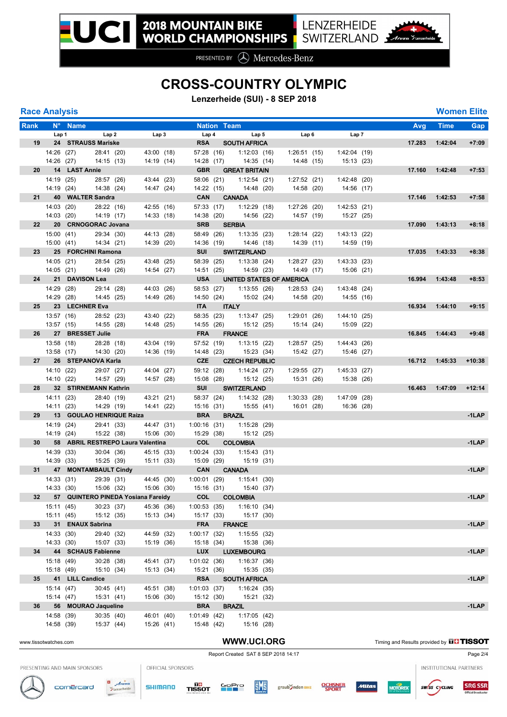## **CROSS-COUNTRY OLYMPIC**

**Lenzerheide (SUI) - 8 SEP 2018**

| <b>Race Analysis</b> |  |  |
|----------------------|--|--|
|----------------------|--|--|

| <b>Race Analysis</b>  |                  |                                    |           |                          |                          |                          |                    |                           |              |                           |                           |                                               |             | <b>Women Elite</b> |
|-----------------------|------------------|------------------------------------|-----------|--------------------------|--------------------------|--------------------------|--------------------|---------------------------|--------------|---------------------------|---------------------------|-----------------------------------------------|-------------|--------------------|
| Rank                  |                  | N <sup>o</sup> Name                |           |                          |                          |                          | <b>Nation Team</b> |                           |              |                           |                           | Avg                                           | <b>Time</b> | Gap                |
|                       | Lap 1            |                                    | Lap2      |                          | Lap3                     | Lap 4                    |                    | Lap 5                     |              | Lap6                      | Lap 7                     |                                               |             |                    |
| 19                    |                  | 24 STRAUSS Mariske                 |           |                          |                          | <b>RSA</b>               |                    | <b>SOUTH AFRICA</b>       |              |                           |                           | 17.283                                        | 1:42:04     | $+7:09$            |
|                       | 14:26 (27)       |                                    |           | 28:41 (20)               | 43:00 (18)               | 57:28 (16)               |                    | 1:12:03(16)               |              | 1:26:51(15)               | 1:42:04(19)               |                                               |             |                    |
|                       | 14:26 (27)       |                                    |           | 14:15(13)                | 14:19 (14)               | 14:28 (17)               |                    | 14:35 (14)                |              | 14:48 (15)                | 15:13(23)                 |                                               |             |                    |
| 20                    |                  | 14 LAST Annie                      |           |                          |                          | <b>GBR</b>               |                    | <b>GREAT BRITAIN</b>      |              |                           |                           | 17.160                                        | 1:42:48     | $+7:53$            |
|                       | 14:19 (25)       |                                    |           | 28:57 (26)               | 43:44 (23)               | 58:06 (21)               |                    | 1:12:54(21)               |              | 1:27:52(21)               | 1:42:48 (20)              |                                               |             |                    |
|                       | 14:19 (24)       |                                    |           | 14:38 (24)               | 14:47 (24)               | 14:22 (15)               |                    | 14:48 (20)                |              | 14:58 (20)                | 14:56 (17)                |                                               |             |                    |
|                       | 21               | 40 WALTER Sandra                   |           |                          |                          | <b>CAN</b>               |                    | <b>CANADA</b>             |              |                           |                           | 17.146                                        | 1:42:53     | $+7:58$            |
|                       | 14:03 (20)       |                                    |           | 28:22 (16)               | 42:55 (16)               | 57:33 (17)               |                    | $1:12:29$ (18)            |              | 1:27:26(20)               | 1:42:53(21)               |                                               |             |                    |
|                       | 14:03 (20)       |                                    |           | 14:19 (17)               | 14:33 (18)               | 14:38 (20)               |                    | 14:56 (22)                |              | 14:57 (19)                | 15:27 (25)                |                                               |             |                    |
| 22                    |                  | 20 CRNOGORAC Jovana                |           |                          |                          | <b>SRB</b>               |                    | <b>SERBIA</b>             |              |                           |                           | 17.090                                        | 1:43:13     | $+8:18$            |
|                       | 15:00 (41)       |                                    |           | 29:34 (30)               | 44:13 (28)               | 58:49 (26)               |                    | 1:13:35(23)               | 1:28:14(22)  |                           | 1:43:13(22)               |                                               |             |                    |
|                       | 15:00 (41)       |                                    |           | 14:34 (21)               | 14:39 (20)               | 14:36 (19)               |                    | 14:46 (18)                |              | 14:39 (11)                | 14:59 (19)                |                                               |             |                    |
|                       |                  | 23 25 FORCHINI Ramona              |           |                          |                          | SUI                      |                    | <b>SWITZERLAND</b>        |              |                           |                           | 17.035                                        | 1:43:33     | $+8:38$            |
|                       | 14:05(21)        |                                    |           | 28:54 (25)               | 43:48 (25)               | 58:39 (25)               |                    | 1:13:38(24)               | 1:28:27(23)  |                           | 1:43:33 (23)              |                                               |             |                    |
|                       | 14:05 (21)       |                                    |           | 14:49 (26)               | 14:54 (27)               | 14:51 (25)               |                    | 14:59 (23)                |              | 14:49 (17)                | 15:06 (21)                |                                               |             |                    |
| 24                    |                  | 21 DAVISON Lea                     |           |                          |                          | <b>USA</b>               |                    | UNITED STATES OF AMERICA  |              |                           |                           | 16.994                                        | 1:43:48     | $+8:53$            |
|                       | 14:29 (28)       |                                    |           | 29:14 (28)               | 44:03 (26)               | 58:53 (27)               |                    | 1:13:55(26)               | 1:28:53(24)  |                           | 1:43:48 (24)              |                                               |             |                    |
|                       | 14:29 (28)       |                                    |           | 14:45 (25)               | 14:49 (26)               | 14:50 (24)               |                    | 15:02 (24)                | 14:58 (20)   |                           | 14:55 (16)                |                                               |             |                    |
| 25 <sub>2</sub>       |                  | 23 LECHNER Eva                     |           |                          |                          | <b>ITA</b>               |                    | <b>ITALY</b>              |              |                           |                           | 16.934                                        | 1:44:10     | $+9:15$            |
|                       | 13:57 (16)       |                                    |           | 28:52 (23)               | 43:40 (22)               | 58:35 (23)               |                    | 1:13:47(25)               | 1:29:01(26)  |                           | 1:44:10(25)               |                                               |             |                    |
|                       | 13:57 (15)       |                                    |           | 14:55 (28)               | 14:48 (25)               | 14:55 (26)               |                    | 15:12 (25)                |              | 15:14 (24)                | 15:09 (22)                |                                               |             |                    |
|                       |                  | 26 27 BRESSET Julie                |           |                          |                          | <b>FRA</b>               |                    | <b>FRANCE</b>             |              |                           |                           | 16.845                                        | 1:44:43     | $+9:48$            |
|                       | 13:58 (18)       |                                    |           | 28:28 (18)               | 43:04 (19)               | 57:52 (19)<br>14:48 (23) |                    | 1:13:15(22)               | 1:28:57 (25) |                           | 1:44:43 (26)              |                                               |             |                    |
|                       | 13:58 (17)<br>27 | 26 STEPANOVA Karla                 |           | 14:30 (20)               | 14:36 (19)               | <b>CZE</b>               |                    | 15:23 (34)                |              | 15:42 (27)                | 15:46 (27)                | 16.712                                        | 1:45:33     | $+10:38$           |
|                       | 14:10 (22)       |                                    |           |                          |                          |                          |                    | <b>CZECH REPUBLIC</b>     |              |                           |                           |                                               |             |                    |
|                       | 14:10 (22)       |                                    |           | 29:07 (27)<br>14:57 (29) | 44:04 (27)<br>14:57 (28) | 59:12 (28)<br>15:08 (28) |                    | 1:14:24(27)<br>15:12 (25) |              | 1:29:55(27)<br>15:31 (26) | 1:45:33(27)<br>15:38 (26) |                                               |             |                    |
| 28                    |                  | 32 STIRNEMANN Kathrin              |           |                          |                          | SUI                      |                    | <b>SWITZERLAND</b>        |              |                           |                           | 16.463                                        | 1:47:09     | $+12:14$           |
|                       | 14:11 (23)       |                                    |           | 28:40 (19)               |                          | 58:37 (24)               |                    | 1:14:32(28)               |              | 1:30:33(28)               | 1:47:09(28)               |                                               |             |                    |
|                       | 14:11 (23)       |                                    |           | 14:29 (19)               | 43:21 (21)<br>14:41 (22) | 15:16 (31)               |                    | 15:55 (41)                |              | 16:01 (28)                | 16:36 (28)                |                                               |             |                    |
|                       |                  | 29 13 GOULAO HENRIQUE Raiza        |           |                          |                          | <b>BRA</b>               |                    | <b>BRAZIL</b>             |              |                           |                           |                                               |             | $-1$ LAP           |
|                       | 14:19 (24)       |                                    |           | 29:41 (33)               | 44:47 (31)               | 1:00:16(31)              |                    | 1:15:28(29)               |              |                           |                           |                                               |             |                    |
|                       | 14:19 (24)       |                                    |           | 15:22 (38)               | 15:06 (30)               | 15:29 (38)               |                    | 15:12 (25)                |              |                           |                           |                                               |             |                    |
| 30 <sub>o</sub>       |                  | 58 ABRIL RESTREPO Laura Valentina  |           |                          |                          | <b>COL</b>               |                    | <b>COLOMBIA</b>           |              |                           |                           |                                               |             | $-1$ LAP           |
|                       | 14:39 (33)       |                                    |           | 30:04(36)                | 45:15 (33)               | 1:00:24(33)              |                    | 1:15:43(31)               |              |                           |                           |                                               |             |                    |
|                       | 14:39 (33)       |                                    |           | 15:25 (39)               | 15:11 (33)               | 15:09 (29)               |                    | 15:19 (31)                |              |                           |                           |                                               |             |                    |
| 31                    | 47               | <b>MONTAMBAULT Cindy</b>           |           |                          |                          | <b>CAN</b>               |                    | <b>CANADA</b>             |              |                           |                           |                                               |             | $-1$ LAP           |
|                       | 14:33 (31)       |                                    |           | 29:39 (31)               | 44:45 (30)               | $1:00:01$ (29)           |                    | 1:15:41(30)               |              |                           |                           |                                               |             |                    |
|                       | 14:33(30)        |                                    |           | 15:06 (32)               | 15:06 (30)               | 15:16 (31)               |                    | 15:40 (37)                |              |                           |                           |                                               |             |                    |
| 32                    |                  | 57 QUINTERO PINEDA Yosiana Fareidy |           |                          |                          | <b>COL</b>               |                    | <b>COLOMBIA</b>           |              |                           |                           |                                               |             | $-1$ LAP           |
|                       | 15:11 (45)       |                                    |           | 30:23(37)                | 45:36 (36)               | 1:00:53(35)              |                    | 1:16:10(34)               |              |                           |                           |                                               |             |                    |
|                       | 15:11 (45)       |                                    |           | 15:12 (35)               | 15:13 (34)               | 15:17 (33)               |                    | 15:17 (30)                |              |                           |                           |                                               |             |                    |
| 33                    | 31               | <b>ENAUX Sabrina</b>               |           |                          |                          | <b>FRA</b>               |                    | <b>FRANCE</b>             |              |                           |                           |                                               |             | $-1$ LAP           |
|                       | 14:33(30)        |                                    |           | 29:40 (32)               | 44:59 (32)               | 1:00:17(32)              |                    | 1:15:55(32)               |              |                           |                           |                                               |             |                    |
|                       | 14:33(30)        |                                    |           | 15:07 (33)               | 15:19 (36)               | 15:18 (34)               |                    | 15:38 (36)                |              |                           |                           |                                               |             |                    |
| 34                    |                  | 44 SCHAUS Fabienne                 |           |                          |                          | <b>LUX</b>               |                    | <b>LUXEMBOURG</b>         |              |                           |                           |                                               |             | $-1$ LAP           |
|                       | 15:18 (49)       |                                    |           | 30:28 (38)               | 45:41 (37)               | $1:01:02$ (36)           |                    | 1:16:37 (36)              |              |                           |                           |                                               |             |                    |
|                       | 15:18 (49)       |                                    |           | 15:10 (34)               | 15:13 (34)               | 15:21 (36)               |                    | 15:35 (35)                |              |                           |                           |                                               |             |                    |
|                       |                  | 35 41 LILL Candice                 |           |                          |                          | <b>RSA</b>               |                    | <b>SOUTH AFRICA</b>       |              |                           |                           |                                               |             | $-1$ LAP           |
|                       | 15:14(47)        |                                    |           | 30:45(41)                | 45:51 (38)               | 1:01:03(37)              |                    | 1:16:24 (35)              |              |                           |                           |                                               |             |                    |
|                       | 15:14 (47)       |                                    |           | 15:31 (41)               | 15:06 (30)               | 15:12 (30)               |                    | 15:21 (32)                |              |                           |                           |                                               |             |                    |
| 36                    |                  | 56 MOURAO Jaqueline                |           |                          |                          | <b>BRA</b>               |                    | <b>BRAZIL</b>             |              |                           |                           |                                               |             | $-1$ LAP           |
|                       | 14:58 (39)       |                                    | 30:35(40) |                          | 46:01 (40)               | 1:01:49(42)              |                    | 1:17:05(42)               |              |                           |                           |                                               |             |                    |
|                       | 14:58 (39)       |                                    |           | 15:37 (44)               | 15:26 (41)               | 15:48 (42)               |                    | 15:16 (28)                |              |                           |                           |                                               |             |                    |
|                       |                  |                                    |           |                          |                          |                          |                    |                           |              |                           |                           |                                               |             |                    |
| www.tissotwatches.com |                  |                                    |           |                          |                          |                          |                    | WWW.UCI.ORG               |              |                           |                           | Timing and Results provided by <b>THISSOT</b> |             |                    |

### Report Created SAT 8 SEP 2018 14:17 Page 2/4

INSTITUTIONAL PARTNERS

PRESENTING AND MAIN SPONSORS







SHIMANO

TISSOT

**EME** 

GoPro

graub Snden BIKE



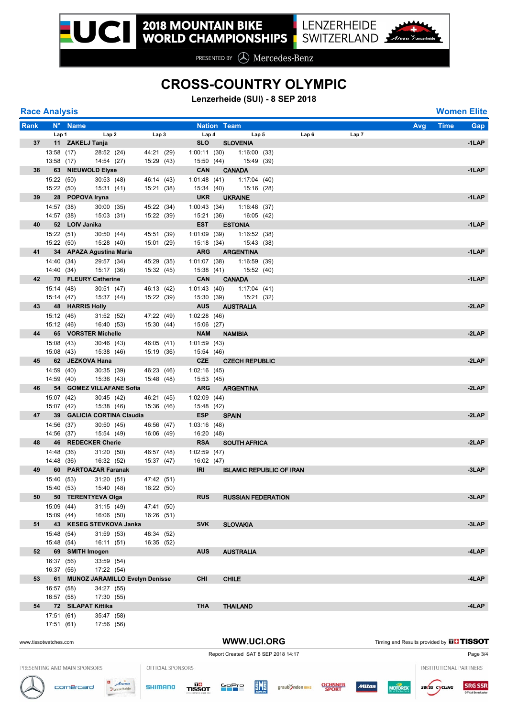# **CROSS-COUNTRY OLYMPIC**

**Lenzerheide (SUI) - 8 SEP 2018**

| <b>Race Analysis</b> |  |
|----------------------|--|
|                      |  |

| <b>Race Analysis</b>  |                          |                              |                          |                                |                   |                              |                                     |                  |       |                                               |                               | <b>Women Elite</b> |
|-----------------------|--------------------------|------------------------------|--------------------------|--------------------------------|-------------------|------------------------------|-------------------------------------|------------------|-------|-----------------------------------------------|-------------------------------|--------------------|
| Rank                  |                          | N° Name                      |                          |                                |                   |                              | <b>Nation Team</b>                  |                  |       | Avg                                           | <b>Time</b>                   | <b>Gap</b>         |
|                       | Lap 1                    |                              | Lap2                     | Lap3                           |                   | Lap 4                        | Lap <sub>5</sub>                    | Lap <sub>6</sub> | Lap 7 |                                               |                               |                    |
| 37                    |                          | 11 ZAKELJ Tanja              |                          |                                |                   | <b>SLO</b>                   | <b>SLOVENIA</b>                     |                  |       |                                               |                               | $-1$ LAP           |
|                       | 13:58 (17)<br>13:58 (17) |                              | 28:52 (24)<br>14:54 (27) | 44:21 (29)<br>15:29 (43)       |                   | 1:00:11(30)<br>15:50 (44)    | 1:16:00(33)<br>15:49 (39)           |                  |       |                                               |                               |                    |
| 38                    |                          | 63 NIEUWOLD Elyse            |                          |                                |                   | CAN                          | <b>CANADA</b>                       |                  |       |                                               |                               | $-1$ LAP           |
|                       | 15:22 (50)               |                              | 30:53(48)                | 46:14 (43)                     |                   | 1:01:48(41)                  | 1:17:04 (40)                        |                  |       |                                               |                               |                    |
|                       | 15:22 (50)               |                              | 15:31 (41)               | 15:21 (38)                     |                   | 15:34 (40)                   | 15:16 (28)                          |                  |       |                                               |                               |                    |
| 39                    |                          | 28 POPOVA Iryna              |                          |                                |                   | <b>UKR</b>                   | <b>UKRAINE</b>                      |                  |       |                                               |                               | $-1$ LAP           |
|                       | 14:57 (38)               |                              | 30:00 (35)               | 45:22 (34)                     |                   | 1:00:43(34)                  | 1:16:48 (37)                        |                  |       |                                               |                               |                    |
|                       | 14:57 (38)               |                              | 15:03 (31)               | 15:22 (39)                     |                   | 15:21 (36)                   | 16:05 (42)                          |                  |       |                                               |                               |                    |
| 40                    |                          | 52 LOIV Janika               |                          |                                |                   | <b>EST</b>                   | <b>ESTONIA</b>                      |                  |       |                                               |                               | $-1$ LAP           |
|                       | 15:22 (51)               |                              | 30:50(44)                | 45:51 (39)                     |                   | $1:01:09$ (39)               | 1:16:52(38)                         |                  |       |                                               |                               |                    |
|                       | 15:22 (50)               |                              | 15:28 (40)               | 15:01 (29)                     |                   | 15:18 (34)                   | 15:43 (38)                          |                  |       |                                               |                               |                    |
|                       |                          | 41 34 APAZA Agustina Maria   |                          |                                |                   | <b>ARG</b>                   | <b>ARGENTINA</b>                    |                  |       |                                               |                               | $-1$ LAP           |
|                       | 14:40 (34)               |                              | 29:57 (34)               | 45:29 (35)                     |                   | 1:01:07(38)                  | 1:16:59 (39)                        |                  |       |                                               |                               |                    |
|                       | 14:40 (34)               | 42 70 FLEURY Catherine       | 15:17 (36)               | 15:32 (45)                     |                   | 15:38 (41)<br><b>CAN</b>     | 15:52 (40)<br><b>CANADA</b>         |                  |       |                                               |                               | $-1$ LAP           |
|                       | 15:14 (48)               |                              | 30:51 (47)               | 46:13 (42)                     |                   | 1:01:43(40)                  | 1:17:04(41)                         |                  |       |                                               |                               |                    |
|                       | 15:14 (47)               |                              | 15:37 (44)               | 15:22 (39)                     |                   | 15:30 (39)                   | 15:21 (32)                          |                  |       |                                               |                               |                    |
| 43                    |                          | <b>48 HARRIS Holly</b>       |                          |                                |                   | <b>AUS</b>                   | <b>AUSTRALIA</b>                    |                  |       |                                               |                               | $-2$ LAP           |
|                       | 15:12 (46)               |                              | 31:52 (52)               | 47:22 (49)                     |                   | 1:02:28(46)                  |                                     |                  |       |                                               |                               |                    |
|                       | 15:12 (46)               |                              | 16:40 (53)               | 15:30 (44)                     |                   | 15:06 (27)                   |                                     |                  |       |                                               |                               |                    |
|                       |                          | 44 65 VORSTER Michelle       |                          |                                |                   | <b>NAM</b>                   | <b>NAMIBIA</b>                      |                  |       |                                               |                               | $-2$ LAP           |
|                       | 15:08 (43)               |                              | 30:46(43)                | 46:05 (41)                     |                   | 1:01:59 (43)                 |                                     |                  |       |                                               |                               |                    |
|                       | 15:08 (43)               |                              | 15:38 (46)               | 15:19 (36)                     |                   | 15:54 (46)                   |                                     |                  |       |                                               |                               |                    |
| 45                    |                          | 62 JEZKOVA Hana              |                          |                                |                   | <b>CZE</b>                   | <b>CZECH REPUBLIC</b>               |                  |       |                                               |                               | $-2$ LAP           |
|                       | 14:59 (40)               |                              | 30:35(39)                | 46:23 (46)                     |                   | 1:02:16(45)                  |                                     |                  |       |                                               |                               |                    |
|                       | 14:59 (40)               |                              | 15:36 (43)               | 15:48 (48)                     |                   | 15:53 (45)                   |                                     |                  |       |                                               |                               |                    |
| 46                    |                          | 54 GOMEZ VILLAFANE Sofia     |                          |                                |                   | <b>ARG</b>                   | <b>ARGENTINA</b>                    |                  |       |                                               |                               | $-2$ LAP           |
|                       | 15:07 (42)<br>15:07 (42) |                              | 30:45 (42)<br>15:38 (46) | 46:21 (45)<br>15:36 (46)       |                   | $1:02:09$ (44)<br>15:48 (42) |                                     |                  |       |                                               |                               |                    |
| 47                    |                          | 39 GALICIA CORTINA Claudia   |                          |                                |                   | <b>ESP</b>                   | <b>SPAIN</b>                        |                  |       |                                               |                               | $-2$ LAP           |
|                       | 14:56 (37)               |                              | 30:50(45)                | 46:56 (47)                     |                   | 1:03:16(48)                  |                                     |                  |       |                                               |                               |                    |
|                       | 14:56 (37)               |                              | 15:54 (49)               | 16:06 (49)                     |                   | 16:20 (48)                   |                                     |                  |       |                                               |                               |                    |
| 48                    |                          | 46 REDECKER Cherie           |                          |                                |                   | <b>RSA</b>                   | <b>SOUTH AFRICA</b>                 |                  |       |                                               |                               | $-2$ LAP           |
|                       | 14:48 (36)               |                              | 31:20(50)                | 46:57 (48)                     |                   | 1:02:59(47)                  |                                     |                  |       |                                               |                               |                    |
|                       | 14:48 (36)               |                              | 16:32 (52)               | 15:37 (47)                     |                   | 16:02 (47)                   |                                     |                  |       |                                               |                               |                    |
| 49                    |                          | 60 PARTOAZAR Faranak         |                          |                                |                   | <b>IRI</b>                   | <b>ISLAMIC REPUBLIC OF IRAN</b>     |                  |       |                                               |                               | -3LAP              |
|                       | 15:40 (53)               |                              | 31:20 (51)               | 47:42 (51)                     |                   |                              |                                     |                  |       |                                               |                               |                    |
|                       | 15:40 (53)               |                              | 15:40 (48)               | 16:22 (50)                     |                   |                              |                                     |                  |       |                                               |                               |                    |
| 50                    |                          | 50 TERENTYEVA Olga           |                          |                                |                   | <b>RUS</b>                   | <b>RUSSIAN FEDERATION</b>           |                  |       |                                               |                               | -3LAP              |
|                       | 15:09 (44)<br>15:09 (44) |                              | 31:15(49)<br>16:06 (50)  | 47:41 (50)<br>16:26 (51)       |                   |                              |                                     |                  |       |                                               |                               |                    |
| 51                    | 43                       | <b>KESEG STEVKOVA Janka</b>  |                          |                                |                   | <b>SVK</b>                   | <b>SLOVAKIA</b>                     |                  |       |                                               |                               | -3LAP              |
|                       | 15:48 (54)               |                              | 31:59 (53)               | 48:34 (52)                     |                   |                              |                                     |                  |       |                                               |                               |                    |
|                       | 15:48 (54)               |                              | 16:11 (51)               | 16:35 (52)                     |                   |                              |                                     |                  |       |                                               |                               |                    |
| 52                    |                          | 69 SMITH Imogen              |                          |                                |                   | <b>AUS</b>                   | <b>AUSTRALIA</b>                    |                  |       |                                               |                               | -4LAP              |
|                       | 16:37 (56)               |                              | 33:59 (54)               |                                |                   |                              |                                     |                  |       |                                               |                               |                    |
|                       | 16:37 (56)               |                              | 17:22 (54)               |                                |                   |                              |                                     |                  |       |                                               |                               |                    |
| 53                    | 61                       |                              |                          | MUNOZ JARAMILLO Evelyn Denisse |                   | <b>CHI</b>                   | <b>CHILE</b>                        |                  |       |                                               |                               | -4LAP              |
|                       | 16:57 (58)               |                              | 34:27 (55)               |                                |                   |                              |                                     |                  |       |                                               |                               |                    |
|                       | 16:57 (58)               |                              | 17:30 (55)               |                                |                   |                              |                                     |                  |       |                                               |                               |                    |
| 54                    |                          | 72 SILAPAT Kittika           |                          |                                |                   | THA                          | <b>THAILAND</b>                     |                  |       |                                               |                               | -4LAP              |
|                       | 17:51 (61)               |                              | 35:47 (58)               |                                |                   |                              |                                     |                  |       |                                               |                               |                    |
|                       | 17:51 (61)               |                              | 17:56 (56)               |                                |                   |                              |                                     |                  |       |                                               |                               |                    |
| www.tissotwatches.com |                          |                              |                          |                                |                   |                              | WWW.UCI.ORG                         |                  |       | Timing and Results provided by <b>THISSOT</b> |                               |                    |
|                       |                          |                              |                          |                                |                   |                              |                                     |                  |       |                                               |                               |                    |
|                       |                          |                              |                          |                                |                   |                              | Report Created SAT 8 SEP 2018 14:17 |                  |       |                                               |                               | Page 3/4           |
|                       |                          | PRESENTING AND MAIN SPONSORS |                          |                                | OFFICIAL SPONSORS |                              |                                     |                  |       |                                               | <b>INSTITUTIONAL PARTNERS</b> |                    |

**TISSOT GOPTO** 



 $\frac{a}{y}$  Arosa

SHIMANO

cornercard



**Alltas** 

**MOTOREX**